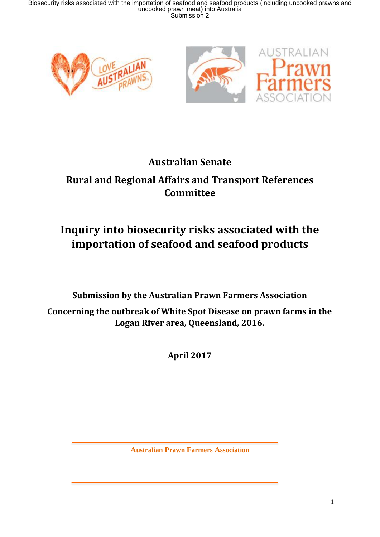

## **Australian Senate**

## **Rural and Regional Affairs and Transport References Committee**

## **Inquiry into biosecurity risks associated with the importation of seafood and seafood products**

**Submission by the Australian Prawn Farmers Association**

**Concerning the outbreak of White Spot Disease on prawn farms in the Logan River area, Queensland, 2016.**

**April 2017**

**Australian Prawn Farmers Association**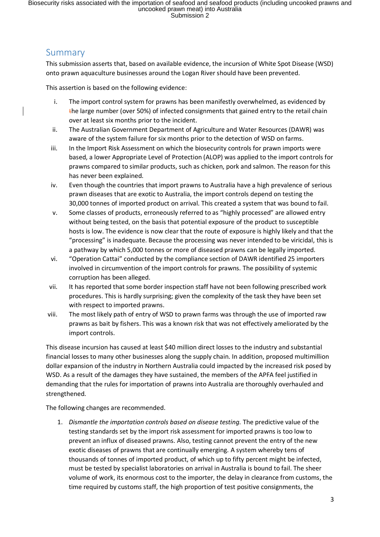## Summary

This submission asserts that, based on available evidence, the incursion of White Spot Disease (WSD) onto prawn aquaculture businesses around the Logan River should have been prevented.

This assertion is based on the following evidence:

- i. The import control system for prawns has been manifestly overwhelmed, as evidenced by the large number (over 50%) of infected consignments that gained entry to the retail chain over at least six months prior to the incident.
- ii. The Australian Government Department of Agriculture and Water Resources (DAWR) was aware of the system failure for six months prior to the detection of WSD on farms.
- iii. In the Import Risk Assessment on which the biosecurity controls for prawn imports were based, a lower Appropriate Level of Protection (ALOP) was applied to the import controls for prawns compared to similar products, such as chicken, pork and salmon. The reason for this has never been explained.
- iv. Even though the countries that import prawns to Australia have a high prevalence of serious prawn diseases that are exotic to Australia, the import controls depend on testing the 30,000 tonnes of imported product on arrival. This created a system that was bound to fail.
- v. Some classes of products, erroneously referred to as "highly processed" are allowed entry without being tested, on the basis that potential exposure of the product to susceptible hosts is low. The evidence is now clear that the route of exposure is highly likely and that the "processing" is inadequate. Because the processing was never intended to be viricidal, this is a pathway by which 5,000 tonnes or more of diseased prawns can be legally imported.
- vi. "Operation Cattai" conducted by the compliance section of DAWR identified 25 importers involved in circumvention of the import controls for prawns. The possibility of systemic corruption has been alleged.
- vii. It has reported that some border inspection staff have not been following prescribed work procedures. This is hardly surprising; given the complexity of the task they have been set with respect to imported prawns.
- viii. The most likely path of entry of WSD to prawn farms was through the use of imported raw prawns as bait by fishers. This was a known risk that was not effectively ameliorated by the import controls.

This disease incursion has caused at least \$40 million direct losses to the industry and substantial financial losses to many other businesses along the supply chain. In addition, proposed multimillion dollar expansion of the industry in Northern Australia could impacted by the increased risk posed by WSD. As a result of the damages they have sustained, the members of the APFA feel justified in demanding that the rules for importation of prawns into Australia are thoroughly overhauled and strengthened.

The following changes are recommended.

1. *Dismantle the importation controls based on disease testing.* The predictive value of the testing standards set by the import risk assessment for imported prawns is too low to prevent an influx of diseased prawns. Also, testing cannot prevent the entry of the new exotic diseases of prawns that are continually emerging. A system whereby tens of thousands of tonnes of imported product, of which up to fifty percent might be infected, must be tested by specialist laboratories on arrival in Australia is bound to fail. The sheer volume of work, its enormous cost to the importer, the delay in clearance from customs, the time required by customs staff, the high proportion of test positive consignments, the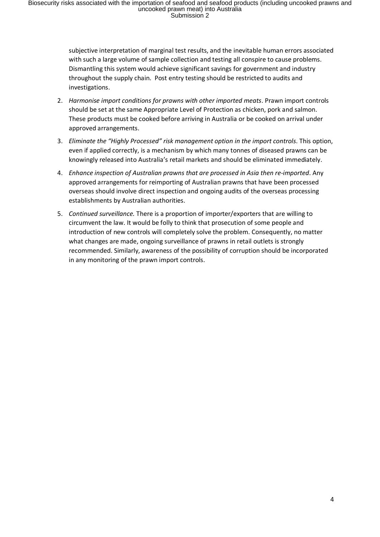subjective interpretation of marginal test results, and the inevitable human errors associated with such a large volume of sample collection and testing all conspire to cause problems. Dismantling this system would achieve significant savings for government and industry throughout the supply chain. Post entry testing should be restricted to audits and investigations.

- 2. *Harmonise import conditions for prawns with other imported meats*. Prawn import controls should be set at the same Appropriate Level of Protection as chicken, pork and salmon. These products must be cooked before arriving in Australia or be cooked on arrival under approved arrangements.
- 3. *Eliminate the "Highly Processed" risk management option in the import controls*. This option, even if applied correctly, is a mechanism by which many tonnes of diseased prawns can be knowingly released into Australia's retail markets and should be eliminated immediately.
- 4. *Enhance inspection of Australian prawns that are processed in Asia then re-imported*. Any approved arrangements for reimporting of Australian prawns that have been processed overseas should involve direct inspection and ongoing audits of the overseas processing establishments by Australian authorities.
- 5. *Continued surveillance.* There is a proportion of importer/exporters that are willing to circumvent the law. It would be folly to think that prosecution of some people and introduction of new controls will completely solve the problem. Consequently, no matter what changes are made, ongoing surveillance of prawns in retail outlets is strongly recommended. Similarly, awareness of the possibility of corruption should be incorporated in any monitoring of the prawn import controls.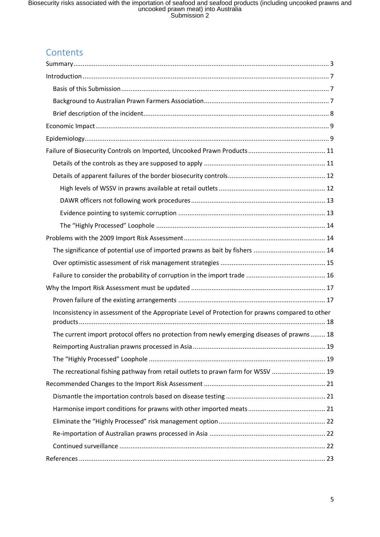## Contents

| Inconsistency in assessment of the Appropriate Level of Protection for prawns compared to other |
|-------------------------------------------------------------------------------------------------|
| The current import protocol offers no protection from newly emerging diseases of prawns 18      |
|                                                                                                 |
|                                                                                                 |
| The recreational fishing pathway from retail outlets to prawn farm for WSSV  19                 |
|                                                                                                 |
|                                                                                                 |
|                                                                                                 |
|                                                                                                 |
|                                                                                                 |
|                                                                                                 |
|                                                                                                 |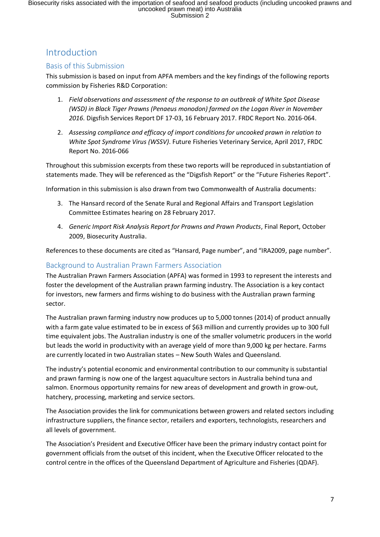## Introduction

#### <span id="page-6-0"></span>Basis of this Submission

This submission is based on input from APFA members and the key findings of the following reports commission by Fisheries R&D Corporation:

- 1. *Field observations and assessment of the response to an outbreak of White Spot Disease (WSD) in Black Tiger Prawns (Penaeus monodon) farmed on the Logan River in November 2016*. Digsfish Services Report DF 17-03, 16 February 2017. FRDC Report No. 2016-064.
- 2. *Assessing compliance and efficacy of import conditions for uncooked prawn in relation to White Spot Syndrome Virus (WSSV)*. Future Fisheries Veterinary Service, April 2017, FRDC Report No. 2016-066

Throughout this submission excerpts from these two reports will be reproduced in substantiation of statements made. They will be referenced as the "Digsfish Report" or the "Future Fisheries Report".

Information in this submission is also drawn from two Commonwealth of Australia documents:

- 3. The Hansard record of the Senate Rural and Regional Affairs and Transport Legislation Committee Estimates hearing on 28 February 2017.
- 4. *Generic Import Risk Analysis Report for Prawns and Prawn Products*, Final Report, October 2009, Biosecurity Australia.

References to these documents are cited as "Hansard, Page number", and "IRA2009, page number".

#### <span id="page-6-1"></span>Background to Australian Prawn Farmers Association

The Australian Prawn Farmers Association (APFA) was formed in 1993 to represent the interests and foster the development of the Australian prawn farming industry. The Association is a key contact for investors, new farmers and firms wishing to do business with the Australian prawn farming sector.

The Australian prawn farming industry now produces up to 5,000 tonnes (2014) of product annually with a farm gate value estimated to be in excess of \$63 million and currently provides up to 300 full time equivalent jobs. The Australian industry is one of the smaller volumetric producers in the world but leads the world in productivity with an average yield of more than 9,000 kg per hectare. Farms are currently located in two Australian states – New South Wales and Queensland.

The industry's potential economic and environmental contribution to our community is substantial and prawn farming is now one of the largest aquaculture sectors in Australia behind tuna and salmon. Enormous opportunity remains for new areas of development and growth in grow-out, hatchery, processing, marketing and service sectors.

The Association provides the link for communications between growers and related sectors including infrastructure suppliers, the finance sector, retailers and exporters, technologists, researchers and all levels of government.

The Association's President and Executive Officer have been the primary industry contact point for government officials from the outset of this incident, when the Executive Officer relocated to the control centre in the offices of the Queensland Department of Agriculture and Fisheries (QDAF).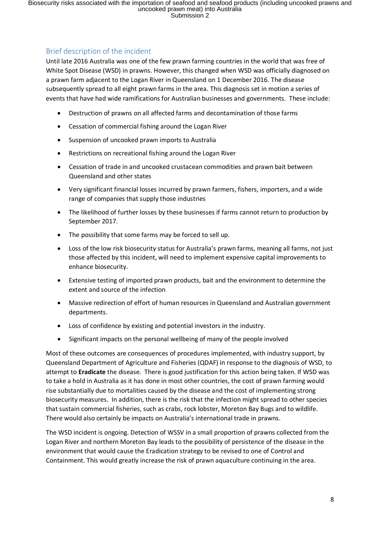#### <span id="page-7-0"></span>Brief description of the incident

Until late 2016 Australia was one of the few prawn farming countries in the world that was free of White Spot Disease (WSD) in prawns. However, this changed when WSD was officially diagnosed on a prawn farm adjacent to the Logan River in Queensland on 1 December 2016. The disease subsequently spread to all eight prawn farms in the area. This diagnosis set in motion a series of events that have had wide ramifications for Australian businesses and governments. These include:

- Destruction of prawns on all affected farms and decontamination of those farms
- Cessation of commercial fishing around the Logan River
- Suspension of uncooked prawn imports to Australia
- Restrictions on recreational fishing around the Logan River
- Cessation of trade in and uncooked crustacean commodities and prawn bait between Queensland and other states
- Very significant financial losses incurred by prawn farmers, fishers, importers, and a wide range of companies that supply those industries
- The likelihood of further losses by these businesses if farms cannot return to production by September 2017.
- The possibility that some farms may be forced to sell up.
- Loss of the low risk biosecurity status for Australia's prawn farms, meaning all farms, not just those affected by this incident, will need to implement expensive capital improvements to enhance biosecurity.
- Extensive testing of imported prawn products, bait and the environment to determine the extent and source of the infection
- Massive redirection of effort of human resources in Queensland and Australian government departments.
- Loss of confidence by existing and potential investors in the industry.
- Significant impacts on the personal wellbeing of many of the people involved

Most of these outcomes are consequences of procedures implemented, with industry support, by Queensland Department of Agriculture and Fisheries (QDAF) in response to the diagnosis of WSD, to attempt to **Eradicate** the disease. There is good justification for this action being taken. If WSD was to take a hold in Australia as it has done in most other countries, the cost of prawn farming would rise substantially due to mortalities caused by the disease and the cost of implementing strong biosecurity measures. In addition, there is the risk that the infection might spread to other species that sustain commercial fisheries, such as crabs, rock lobster, Moreton Bay Bugs and to wildlife. There would also certainly be impacts on Australia's international trade in prawns.

The WSD incident is ongoing. Detection of WSSV in a small proportion of prawns collected from the Logan River and northern Moreton Bay leads to the possibility of persistence of the disease in the environment that would cause the Eradication strategy to be revised to one of Control and Containment. This would greatly increase the risk of prawn aquaculture continuing in the area.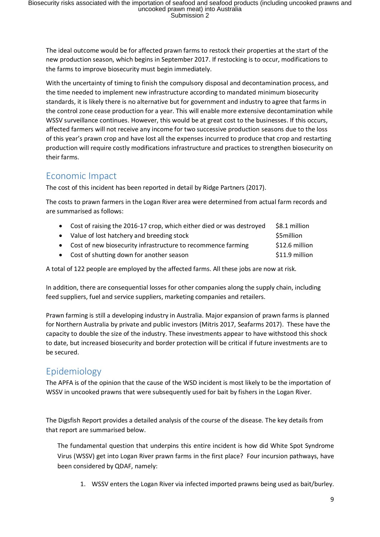The ideal outcome would be for affected prawn farms to restock their properties at the start of the new production season, which begins in September 2017. If restocking is to occur, modifications to the farms to improve biosecurity must begin immediately.

With the uncertainty of timing to finish the compulsory disposal and decontamination process, and the time needed to implement new infrastructure according to mandated minimum biosecurity standards, it is likely there is no alternative but for government and industry to agree that farms in the control zone cease production for a year. This will enable more extensive decontamination while WSSV surveillance continues. However, this would be at great cost to the businesses. If this occurs, affected farmers will not receive any income for two successive production seasons due to the loss of this year's prawn crop and have lost all the expenses incurred to produce that crop and restarting production will require costly modifications infrastructure and practices to strengthen biosecurity on their farms.

## <span id="page-8-0"></span>Economic Impact

The cost of this incident has been reported in detail by Ridge Partners (2017).

The costs to prawn farmers in the Logan River area were determined from actual farm records and are summarised as follows:

- Cost of raising the 2016-17 crop, which either died or was destroyed \$8.1 million
- Value of lost hatchery and breeding stock **\$5million**
- Cost of new biosecurity infrastructure to recommence farming \$12.6 million
- Cost of shutting down for another season **\$11.9 million** \$11.9 million

A total of 122 people are employed by the affected farms. All these jobs are now at risk.

In addition, there are consequential losses for other companies along the supply chain, including feed suppliers, fuel and service suppliers, marketing companies and retailers.

Prawn farming is still a developing industry in Australia. Major expansion of prawn farms is planned for Northern Australia by private and public investors (Mitris 2017, Seafarms 2017). These have the capacity to double the size of the industry. These investments appear to have withstood this shock to date, but increased biosecurity and border protection will be critical if future investments are to be secured.

## <span id="page-8-1"></span>Epidemiology

The APFA is of the opinion that the cause of the WSD incident is most likely to be the importation of WSSV in uncooked prawns that were subsequently used for bait by fishers in the Logan River.

The Digsfish Report provides a detailed analysis of the course of the disease. The key details from that report are summarised below.

The fundamental question that underpins this entire incident is how did White Spot Syndrome Virus (WSSV) get into Logan River prawn farms in the first place? Four incursion pathways, have been considered by QDAF, namely:

1. WSSV enters the Logan River via infected imported prawns being used as bait/burley.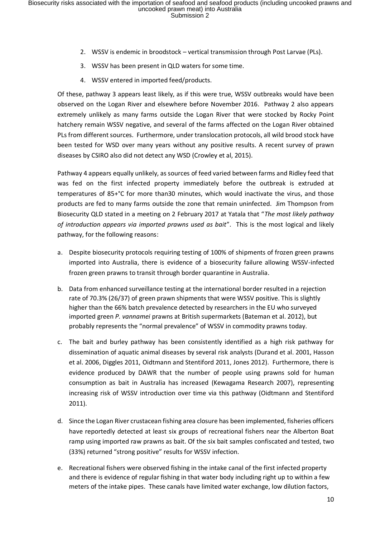- 2. WSSV is endemic in broodstock vertical transmission through Post Larvae (PLs).
- 3. WSSV has been present in QLD waters for some time.
- 4. WSSV entered in imported feed/products.

Of these, pathway 3 appears least likely, as if this were true, WSSV outbreaks would have been observed on the Logan River and elsewhere before November 2016. Pathway 2 also appears extremely unlikely as many farms outside the Logan River that were stocked by Rocky Point hatchery remain WSSV negative, and several of the farms affected on the Logan River obtained PLs from different sources. Furthermore, under translocation protocols, all wild brood stock have been tested for WSD over many years without any positive results. A recent survey of prawn diseases by CSIRO also did not detect any WSD (Crowley et al, 2015).

Pathway 4 appears equally unlikely, as sources of feed varied between farms and Ridley feed that was fed on the first infected property immediately before the outbreak is extruded at temperatures of 85+°C for more than30 minutes, which would inactivate the virus, and those products are fed to many farms outside the zone that remain uninfected. Jim Thompson from Biosecurity QLD stated in a meeting on 2 February 2017 at Yatala that "*The most likely pathway of introduction appears via imported prawns used as bait*". This is the most logical and likely pathway, for the following reasons:

- a. Despite biosecurity protocols requiring testing of 100% of shipments of frozen green prawns imported into Australia, there is evidence of a biosecurity failure allowing WSSV-infected frozen green prawns to transit through border quarantine in Australia.
- b. Data from enhanced surveillance testing at the international border resulted in a rejection rate of 70.3% (26/37) of green prawn shipments that were WSSV positive. This is slightly higher than the 66% batch prevalence detected by researchers in the EU who surveyed imported green *P. vannamei* prawns at British supermarkets (Bateman et al. 2012), but probably represents the "normal prevalence" of WSSV in commodity prawns today.
- c. The bait and burley pathway has been consistently identified as a high risk pathway for dissemination of aquatic animal diseases by several risk analysts (Durand et al. 2001, Hasson et al. 2006, Diggles 2011, Oidtmann and Stentiford 2011, Jones 2012). Furthermore, there is evidence produced by DAWR that the number of people using prawns sold for human consumption as bait in Australia has increased (Kewagama Research 2007), representing increasing risk of WSSV introduction over time via this pathway (Oidtmann and Stentiford 2011).
- d. Since the Logan River crustacean fishing area closure has been implemented, fisheries officers have reportedly detected at least six groups of recreational fishers near the Alberton Boat ramp using imported raw prawns as bait. Of the six bait samples confiscated and tested, two (33%) returned "strong positive" results for WSSV infection.
- e. Recreational fishers were observed fishing in the intake canal of the first infected property and there is evidence of regular fishing in that water body including right up to within a few meters of the intake pipes. These canals have limited water exchange, low dilution factors,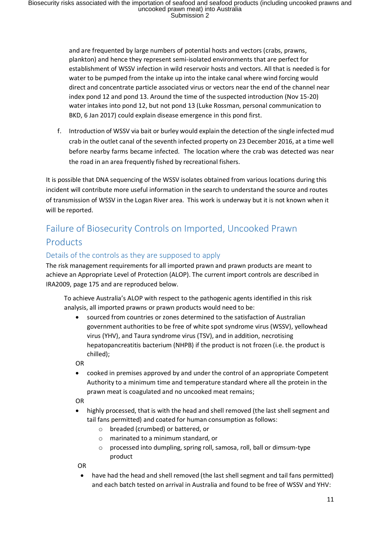and are frequented by large numbers of potential hosts and vectors (crabs, prawns, plankton) and hence they represent semi-isolated environments that are perfect for establishment of WSSV infection in wild reservoir hosts and vectors. All that is needed is for water to be pumped from the intake up into the intake canal where wind forcing would direct and concentrate particle associated virus or vectors near the end of the channel near index pond 12 and pond 13. Around the time of the suspected introduction (Nov 15-20) water intakes into pond 12, but not pond 13 (Luke Rossman, personal communication to BKD, 6 Jan 2017) could explain disease emergence in this pond first.

f. Introduction of WSSV via bait or burley would explain the detection of the single infected mud crab in the outlet canal of the seventh infected property on 23 December 2016, at a time well before nearby farms became infected. The location where the crab was detected was near the road in an area frequently fished by recreational fishers.

It is possible that DNA sequencing of the WSSV isolates obtained from various locations during this incident will contribute more useful information in the search to understand the source and routes of transmission of WSSV in the Logan River area. This work is underway but it is not known when it will be reported.

## <span id="page-10-0"></span>Failure of Biosecurity Controls on Imported, Uncooked Prawn **Products**

#### <span id="page-10-1"></span>Details of the controls as they are supposed to apply

The risk management requirements for all imported prawn and prawn products are meant to achieve an Appropriate Level of Protection (ALOP). The current import controls are described in IRA2009, page 175 and are reproduced below.

To achieve Australia's ALOP with respect to the pathogenic agents identified in this risk analysis, all imported prawns or prawn products would need to be:

• sourced from countries or zones determined to the satisfaction of Australian government authorities to be free of white spot syndrome virus (WSSV), yellowhead virus (YHV), and Taura syndrome virus (TSV), and in addition, necrotising hepatopancreatitis bacterium (NHPB) if the product is not frozen (i.e. the product is chilled);

OR

• cooked in premises approved by and under the control of an appropriate Competent Authority to a minimum time and temperature standard where all the protein in the prawn meat is coagulated and no uncooked meat remains;

OR

- highly processed, that is with the head and shell removed (the last shell segment and tail fans permitted) and coated for human consumption as follows:
	- o breaded (crumbed) or battered, or
	- o marinated to a minimum standard, or
	- o processed into dumpling, spring roll, samosa, roll, ball or dimsum-type product

OR

• have had the head and shell removed (the last shell segment and tail fans permitted) and each batch tested on arrival in Australia and found to be free of WSSV and YHV: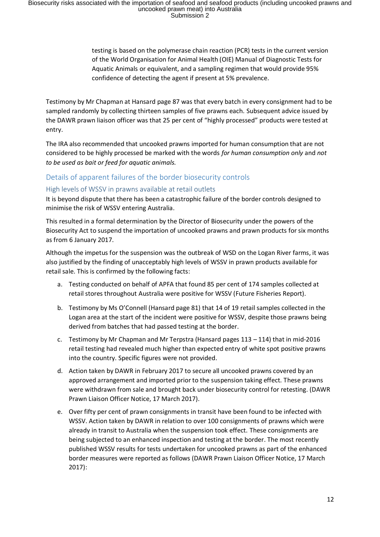testing is based on the polymerase chain reaction (PCR) tests in the current version of the World Organisation for Animal Health (OIE) Manual of Diagnostic Tests for Aquatic Animals or equivalent, and a sampling regimen that would provide 95% confidence of detecting the agent if present at 5% prevalence.

Testimony by Mr Chapman at Hansard page 87 was that every batch in every consignment had to be sampled randomly by collecting thirteen samples of five prawns each. Subsequent advice issued by the DAWR prawn liaison officer was that 25 per cent of "highly processed" products were tested at entry.

The IRA also recommended that uncooked prawns imported for human consumption that are not considered to be highly processed be marked with the words *for human consumption only* and *not to be used as bait or feed for aquatic animals.*

#### <span id="page-11-0"></span>Details of apparent failures of the border biosecurity controls

#### <span id="page-11-1"></span>High levels of WSSV in prawns available at retail outlets

It is beyond dispute that there has been a catastrophic failure of the border controls designed to minimise the risk of WSSV entering Australia.

This resulted in a formal determination by the Director of Biosecurity under the powers of the Biosecurity Act to suspend the importation of uncooked prawns and prawn products for six months as from 6 January 2017.

Although the impetus for the suspension was the outbreak of WSD on the Logan River farms, it was also justified by the finding of unacceptably high levels of WSSV in prawn products available for retail sale. This is confirmed by the following facts:

- a. Testing conducted on behalf of APFA that found 85 per cent of 174 samples collected at retail stores throughout Australia were positive for WSSV (Future Fisheries Report).
- b. Testimony by Ms O'Connell (Hansard page 81) that 14 of 19 retail samples collected in the Logan area at the start of the incident were positive for WSSV, despite those prawns being derived from batches that had passed testing at the border.
- c. Testimony by Mr Chapman and Mr Terpstra (Hansard pages  $113 114$ ) that in mid-2016 retail testing had revealed much higher than expected entry of white spot positive prawns into the country. Specific figures were not provided.
- d. Action taken by DAWR in February 2017 to secure all uncooked prawns covered by an approved arrangement and imported prior to the suspension taking effect. These prawns were withdrawn from sale and brought back under biosecurity control for retesting. (DAWR Prawn Liaison Officer Notice, 17 March 2017).
- e. Over fifty per cent of prawn consignments in transit have been found to be infected with WSSV. Action taken by DAWR in relation to over 100 consignments of prawns which were already in transit to Australia when the suspension took effect. These consignments are being subjected to an enhanced inspection and testing at the border. The most recently published WSSV results for tests undertaken for uncooked prawns as part of the enhanced border measures were reported as follows (DAWR Prawn Liaison Officer Notice, 17 March 2017):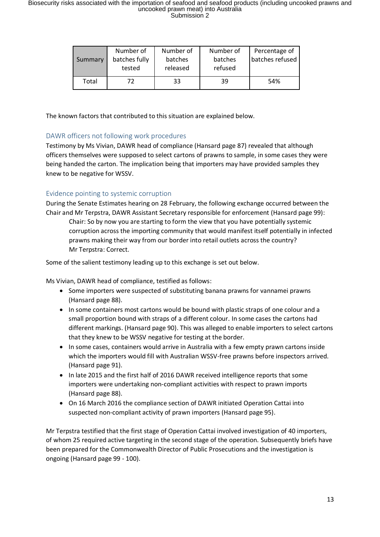| Summary | Number of<br>batches fully<br>tested | Number of<br>batches<br>released | Number of<br>batches<br>refused | Percentage of<br>batches refused |
|---------|--------------------------------------|----------------------------------|---------------------------------|----------------------------------|
| Total   | 72                                   | 33                               | 39                              | 54%                              |

The known factors that contributed to this situation are explained below.

#### <span id="page-12-0"></span>DAWR officers not following work procedures

Testimony by Ms Vivian, DAWR head of compliance (Hansard page 87) revealed that although officers themselves were supposed to select cartons of prawns to sample, in some cases they were being handed the carton. The implication being that importers may have provided samples they knew to be negative for WSSV.

#### <span id="page-12-1"></span>Evidence pointing to systemic corruption

During the Senate Estimates hearing on 28 February, the following exchange occurred between the Chair and Mr Terpstra, DAWR Assistant Secretary responsible for enforcement (Hansard page 99):

Chair: So by now you are starting to form the view that you have potentially systemic corruption across the importing community that would manifest itself potentially in infected prawns making their way from our border into retail outlets across the country? Mr Terpstra: Correct.

Some of the salient testimony leading up to this exchange is set out below.

Ms Vivian, DAWR head of compliance, testified as follows:

- Some importers were suspected of substituting banana prawns for vannamei prawns (Hansard page 88).
- In some containers most cartons would be bound with plastic straps of one colour and a small proportion bound with straps of a different colour. In some cases the cartons had different markings. (Hansard page 90). This was alleged to enable importers to select cartons that they knew to be WSSV negative for testing at the border.
- In some cases, containers would arrive in Australia with a few empty prawn cartons inside which the importers would fill with Australian WSSV-free prawns before inspectors arrived. (Hansard page 91).
- In late 2015 and the first half of 2016 DAWR received intelligence reports that some importers were undertaking non-compliant activities with respect to prawn imports (Hansard page 88).
- On 16 March 2016 the compliance section of DAWR initiated Operation Cattai into suspected non-compliant activity of prawn importers (Hansard page 95).

Mr Terpstra testified that the first stage of Operation Cattai involved investigation of 40 importers, of whom 25 required active targeting in the second stage of the operation. Subsequently briefs have been prepared for the Commonwealth Director of Public Prosecutions and the investigation is ongoing (Hansard page 99 - 100).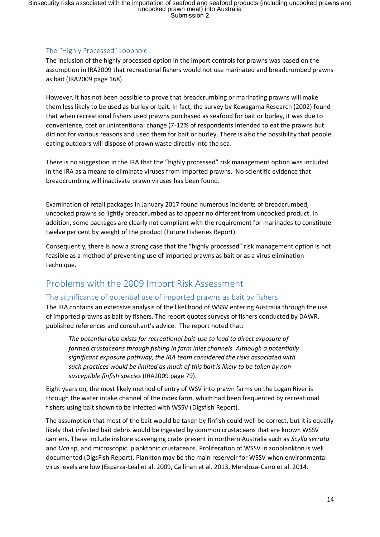#### <span id="page-13-0"></span>The "Highly Processed" Loophole

The inclusion of the highly processed option in the import controls for prawns was based on the assumption in IRA2009 that recreational fishers would not use marinated and breadcrumbed prawns as bait (IRA2009 page 168).

However, it has not been possible to prove that breadcrumbing or marinating prawns will make them less likely to be used as burley or bait. In fact, the survey by Kewagama Research (2002) found that when recreational fishers used prawns purchased as seafood for bait or burley, it was due to convenience, cost or unintentional change (7-12% of respondents intended to eat the prawns but did not for various reasons and used them for bait or burley. There is also the possibility that people eating outdoors will dispose of prawn waste directly into the sea.

There is no suggestion in the IRA that the "highly processed" risk management option was included in the IRA as a means to eliminate viruses from imported prawns. No scientific evidence that breadcrumbing will inactivate prawn viruses has been found.

Examination of retail packages in January 2017 found numerous incidents of breadcrumbed, uncooked prawns so lightly breadcrumbed as to appear no different from uncooked product. In addition, some packages are clearly not compliant with the requirement for marinades to constitute twelve per cent by weight of the product (Future Fisheries Report).

Consequently, there is now a strong case that the "highly processed" risk management option is not feasible as a method of preventing use of imported prawns as bait or as a virus elimination technique.

## <span id="page-13-1"></span>Problems with the 2009 Import Risk Assessment

#### <span id="page-13-2"></span>The significance of potential use of imported prawns as bait by fishers

The IRA contains an extensive analysis of the likelihood of WSSV entering Australia through the use of imported prawns as bait by fishers. The report quotes surveys of fishers conducted by DAWR, published references and consultant's advice. The report noted that:

*The potential also exists for recreational bait-use to lead to direct exposure of farmed crustaceans through fishing in farm inlet channels. Although a potentially significant exposure pathway, the IRA team considered the risks associated with such practices would be limited as much of this bait is likely to be taken by nonsusceptible finfish species* (IRA2009 page 79).

Eight years on, the most likely method of entry of WSV into prawn farms on the Logan River is through the water intake channel of the index farm, which had been frequented by recreational fishers using bait shown to be infected with WSSV (Digsfish Report).

The assumption that most of the bait would be taken by finfish could well be correct, but it is equally likely that infected bait debris would be ingested by common crustaceans that are known WSSV carriers. These include inshore scavenging crabs present in northern Australia such as *Scylla serrata* and *Uca* sp, and microscopic, planktonic crustaceans. Proliferation of WSSV in zooplankton is well documented (DigsFish Report). Plankton may be the main reservoir for WSSV when environmental virus levels are low (Esparza-Leal et al. 2009, Callinan et al. 2013, Mendoza-Cano et al. 2014.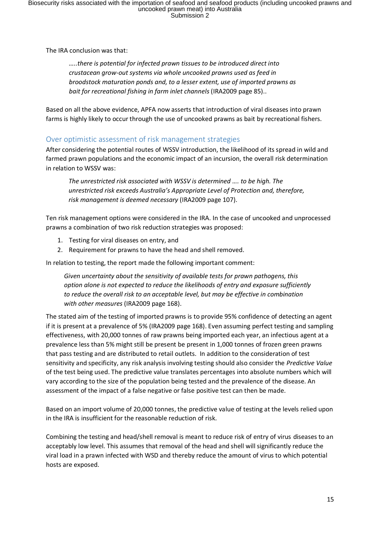The IRA conclusion was that:

*…..there is potential for infected prawn tissues to be introduced direct into crustacean grow-out systems via whole uncooked prawns used as feed in broodstock maturation ponds and, to a lesser extent, use of imported prawns as bait for recreational fishing in farm inlet channels* (IRA2009 page 85)..

Based on all the above evidence, APFA now asserts that introduction of viral diseases into prawn farms is highly likely to occur through the use of uncooked prawns as bait by recreational fishers.

#### <span id="page-14-0"></span>Over optimistic assessment of risk management strategies

After considering the potential routes of WSSV introduction, the likelihood of its spread in wild and farmed prawn populations and the economic impact of an incursion, the overall risk determination in relation to WSSV was:

*The unrestricted risk associated with WSSV is determined …. to be high. The unrestricted risk exceeds Australia's Appropriate Level of Protection and, therefore, risk management is deemed necessary* (IRA2009 page 107).

Ten risk management options were considered in the IRA. In the case of uncooked and unprocessed prawns a combination of two risk reduction strategies was proposed:

- 1. Testing for viral diseases on entry, and
- 2. Requirement for prawns to have the head and shell removed.

In relation to testing, the report made the following important comment:

*Given uncertainty about the sensitivity of available tests for prawn pathogens, this option alone is not expected to reduce the likelihoods of entry and exposure sufficiently to reduce the overall risk to an acceptable level, but may be effective in combination with other measures* (IRA2009 page 168).

The stated aim of the testing of imported prawns is to provide 95% confidence of detecting an agent if it is present at a prevalence of 5% (IRA2009 page 168). Even assuming perfect testing and sampling effectiveness, with 20,000 tonnes of raw prawns being imported each year, an infectious agent at a prevalence less than 5% might still be present be present in 1,000 tonnes of frozen green prawns that pass testing and are distributed to retail outlets. In addition to the consideration of test sensitivity and specificity, any risk analysis involving testing should also consider the *Predictive Value* of the test being used. The predictive value translates percentages into absolute numbers which will vary according to the size of the population being tested and the prevalence of the disease. An assessment of the impact of a false negative or false positive test can then be made.

Based on an import volume of 20,000 tonnes, the predictive value of testing at the levels relied upon in the IRA is insufficient for the reasonable reduction of risk.

Combining the testing and head/shell removal is meant to reduce risk of entry of virus diseases to an acceptably low level. This assumes that removal of the head and shell will significantly reduce the viral load in a prawn infected with WSD and thereby reduce the amount of virus to which potential hosts are exposed.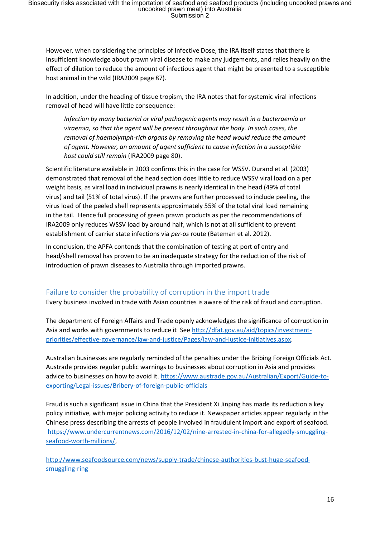However, when considering the principles of Infective Dose, the IRA itself states that there is insufficient knowledge about prawn viral disease to make any judgements, and relies heavily on the effect of dilution to reduce the amount of infectious agent that might be presented to a susceptible host animal in the wild (IRA2009 page 87).

In addition, under the heading of tissue tropism, the IRA notes that for systemic viral infections removal of head will have little consequence:

*Infection by many bacterial or viral pathogenic agents may result in a bacteraemia or viraemia, so that the agent will be present throughout the body. In such cases, the removal of haemolymph-rich organs by removing the head would reduce the amount of agent. However, an amount of agent sufficient to cause infection in a susceptible host could still remain* (IRA2009 page 80).

Scientific literature available in 2003 confirms this in the case for WSSV. Durand et al. (2003) demonstrated that removal of the head section does little to reduce WSSV viral load on a per weight basis, as viral load in individual prawns is nearly identical in the head (49% of total virus) and tail (51% of total virus). If the prawns are further processed to include peeling, the virus load of the peeled shell represents approximately 55% of the total viral load remaining in the tail. Hence full processing of green prawn products as per the recommendations of IRA2009 only reduces WSSV load by around half, which is not at all sufficient to prevent establishment of carrier state infections via *per-os* route (Bateman et al. 2012).

In conclusion, the APFA contends that the combination of testing at port of entry and head/shell removal has proven to be an inadequate strategy for the reduction of the risk of introduction of prawn diseases to Australia through imported prawns.

#### <span id="page-15-0"></span>Failure to consider the probability of corruption in the import trade

Every business involved in trade with Asian countries is aware of the risk of fraud and corruption.

The department of Foreign Affairs and Trade openly acknowledges the significance of corruption in Asia and works with governments to reduce it Se[e http://dfat.gov.au/aid/topics/investment](http://dfat.gov.au/aid/topics/investment-priorities/effective-governance/law-and-justice/Pages/law-and-justice-initiatives.aspx)[priorities/effective-governance/law-and-justice/Pages/law-and-justice-initiatives.aspx.](http://dfat.gov.au/aid/topics/investment-priorities/effective-governance/law-and-justice/Pages/law-and-justice-initiatives.aspx)

Australian businesses are regularly reminded of the penalties under the Bribing Foreign Officials Act. Austrade provides regular public warnings to businesses about corruption in Asia and provides advice to businesses on how to avoid it. [https://www.austrade.gov.au/Australian/Export/Guide-to](https://www.austrade.gov.au/Australian/Export/Guide-to-exporting/Legal-issues/Bribery-of-foreign-public-officials)[exporting/Legal-issues/Bribery-of-foreign-public-officials](https://www.austrade.gov.au/Australian/Export/Guide-to-exporting/Legal-issues/Bribery-of-foreign-public-officials)

Fraud is such a significant issue in China that the President Xi Jinping has made its reduction a key policy initiative, with major policing activity to reduce it. Newspaper articles appear regularly in the Chinese press describing the arrests of people involved in fraudulent import and export of seafood. [https://www.undercurrentnews.com/2016/12/02/nine-arrested-in-china-for-allegedly-smuggling](https://www.undercurrentnews.com/2016/12/02/nine-arrested-in-china-for-allegedly-smuggling-seafood-worth-millions/)[seafood-worth-millions/,](https://www.undercurrentnews.com/2016/12/02/nine-arrested-in-china-for-allegedly-smuggling-seafood-worth-millions/)

[http://www.seafoodsource.com/news/supply-trade/chinese-authorities-bust-huge-seafood](http://www.seafoodsource.com/news/supply-trade/chinese-authorities-bust-huge-seafood-smuggling-ring)[smuggling-ring](http://www.seafoodsource.com/news/supply-trade/chinese-authorities-bust-huge-seafood-smuggling-ring)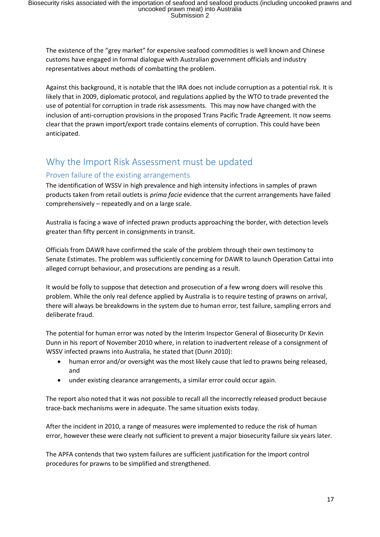The existence of the "grey market" for expensive seafood commodities is well known and Chinese customs have engaged in formal dialogue with Australian government officials and industry representatives about methods of combatting the problem.

Against this background, it is notable that the IRA does not include corruption as a potential risk. It is likely that in 2009, diplomatic protocol, and regulations applied by the WTO to trade prevented the use of potential for corruption in trade risk assessments. This may now have changed with the inclusion of anti-corruption provisions in the proposed Trans Pacific Trade Agreement. It now seems clear that the prawn import/export trade contains elements of corruption. This could have been anticipated.

## <span id="page-16-0"></span>Why the Import Risk Assessment must be updated

#### <span id="page-16-1"></span>Proven failure of the existing arrangements

The identification of WSSV in high prevalence and high intensity infections in samples of prawn products taken from retail outlets is *prima facie* evidence that the current arrangements have failed comprehensively – repeatedly and on a large scale.

Australia is facing a wave of infected prawn products approaching the border, with detection levels greater than fifty percent in consignments in transit.

Officials from DAWR have confirmed the scale of the problem through their own testimony to Senate Estimates. The problem was sufficiently concerning for DAWR to launch Operation Cattai into alleged corrupt behaviour, and prosecutions are pending as a result.

It would be folly to suppose that detection and prosecution of a few wrong doers will resolve this problem. While the only real defence applied by Australia is to require testing of prawns on arrival, there will always be breakdowns in the system due to human error, test failure, sampling errors and deliberate fraud.

The potential for human error was noted by the Interim Inspector General of Biosecurity Dr Kevin Dunn in his report of November 2010 where, in relation to inadvertent release of a consignment of WSSV infected prawns into Australia, he stated that (Dunn 2010):

- human error and/or oversight was the most likely cause that led to prawns being released, and
- under existing clearance arrangements, a similar error could occur again.

The report also noted that it was not possible to recall all the incorrectly released product because trace-back mechanisms were in adequate. The same situation exists today.

After the incident in 2010, a range of measures were implemented to reduce the risk of human error, however these were clearly not sufficient to prevent a major biosecurity failure six years later.

The APFA contends that two system failures are sufficient justification for the import control procedures for prawns to be simplified and strengthened.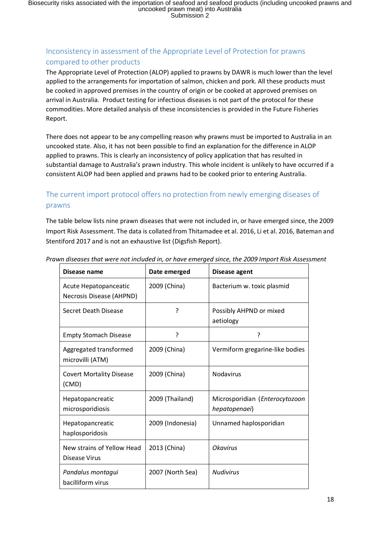#### <span id="page-17-0"></span>Inconsistency in assessment of the Appropriate Level of Protection for prawns compared to other products

The Appropriate Level of Protection (ALOP) applied to prawns by DAWR is much lower than the level applied to the arrangements for importation of salmon, chicken and pork. All these products must be cooked in approved premises in the country of origin or be cooked at approved premises on arrival in Australia. Product testing for infectious diseases is not part of the protocol for these commodities. More detailed analysis of these inconsistencies is provided in the Future Fisheries Report.

There does not appear to be any compelling reason why prawns must be imported to Australia in an uncooked state. Also, it has not been possible to find an explanation for the difference in ALOP applied to prawns. This is clearly an inconsistency of policy application that has resulted in substantial damage to Australia's prawn industry. This whole incident is unlikely to have occurred if a consistent ALOP had been applied and prawns had to be cooked prior to entering Australia.

### <span id="page-17-1"></span>The current import protocol offers no protection from newly emerging diseases of prawns

The table below lists nine prawn diseases that were not included in, or have emerged since, the 2009 Import Risk Assessment. The data is collated from Thitamadee et al. 2016, Li et al. 2016, Bateman and Stentiford 2017 and is not an exhaustive list (Digsfish Report).

| Disease name                                      | Date emerged     | Disease agent                                   |  |
|---------------------------------------------------|------------------|-------------------------------------------------|--|
| Acute Hepatopanceatic<br>Necrosis Disease (AHPND) | 2009 (China)     | Bacterium w. toxic plasmid                      |  |
| Secret Death Disease                              | ?                | Possibly AHPND or mixed<br>aetiology            |  |
| <b>Empty Stomach Disease</b>                      | 5                | ?                                               |  |
| Aggregated transformed<br>microvilli (ATM)        | 2009 (China)     | Vermiform gregarine-like bodies                 |  |
| <b>Covert Mortality Disease</b><br>(CMD)          | 2009 (China)     | <b>Nodavirus</b>                                |  |
| Hepatopancreatic<br>microsporidiosis              | 2009 (Thailand)  | Microsporidian (Enterocytozoon<br>hepatopenaei) |  |
| Hepatopancreatic<br>haplosporidosis               | 2009 (Indonesia) | Unnamed haplosporidian                          |  |
| New strains of Yellow Head<br>Disease Virus       | 2013 (China)     | <b>Okavirus</b>                                 |  |
| Pandalus montagui<br>bacilliform virus            | 2007 (North Sea) | <b>Nudivirus</b>                                |  |

*Prawn diseases that were not included in, or have emerged since, the 2009 Import Risk Assessment*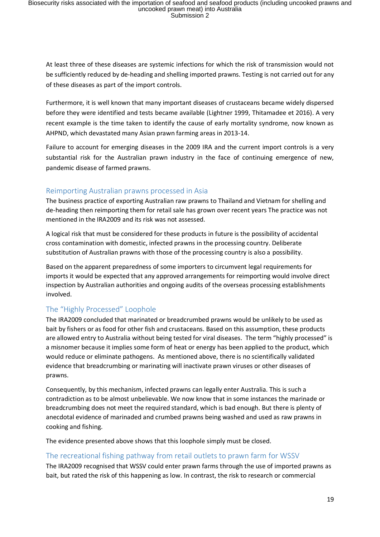At least three of these diseases are systemic infections for which the risk of transmission would not be sufficiently reduced by de-heading and shelling imported prawns. Testing is not carried out for any of these diseases as part of the import controls.

Furthermore, it is well known that many important diseases of crustaceans became widely dispersed before they were identified and tests became available (Lightner 1999, Thitamadee et 2016). A very recent example is the time taken to identify the cause of early mortality syndrome, now known as AHPND, which devastated many Asian prawn farming areas in 2013-14.

Failure to account for emerging diseases in the 2009 IRA and the current import controls is a very substantial risk for the Australian prawn industry in the face of continuing emergence of new, pandemic disease of farmed prawns.

#### <span id="page-18-0"></span>Reimporting Australian prawns processed in Asia

The business practice of exporting Australian raw prawns to Thailand and Vietnam for shelling and de-heading then reimporting them for retail sale has grown over recent years The practice was not mentioned in the IRA2009 and its risk was not assessed.

A logical risk that must be considered for these products in future is the possibility of accidental cross contamination with domestic, infected prawns in the processing country. Deliberate substitution of Australian prawns with those of the processing country is also a possibility.

Based on the apparent preparedness of some importers to circumvent legal requirements for imports it would be expected that any approved arrangements for reimporting would involve direct inspection by Australian authorities and ongoing audits of the overseas processing establishments involved.

#### <span id="page-18-1"></span>The "Highly Processed" Loophole

The IRA2009 concluded that marinated or breadcrumbed prawns would be unlikely to be used as bait by fishers or as food for other fish and crustaceans. Based on this assumption, these products are allowed entry to Australia without being tested for viral diseases. The term "highly processed" is a misnomer because it implies some form of heat or energy has been applied to the product, which would reduce or eliminate pathogens. As mentioned above, there is no scientifically validated evidence that breadcrumbing or marinating will inactivate prawn viruses or other diseases of prawns.

Consequently, by this mechanism, infected prawns can legally enter Australia. This is such a contradiction as to be almost unbelievable. We now know that in some instances the marinade or breadcrumbing does not meet the required standard, which is bad enough. But there is plenty of anecdotal evidence of marinaded and crumbed prawns being washed and used as raw prawns in cooking and fishing.

The evidence presented above shows that this loophole simply must be closed.

#### <span id="page-18-2"></span>The recreational fishing pathway from retail outlets to prawn farm for WSSV

The IRA2009 recognised that WSSV could enter prawn farms through the use of imported prawns as bait, but rated the risk of this happening as low. In contrast, the risk to research or commercial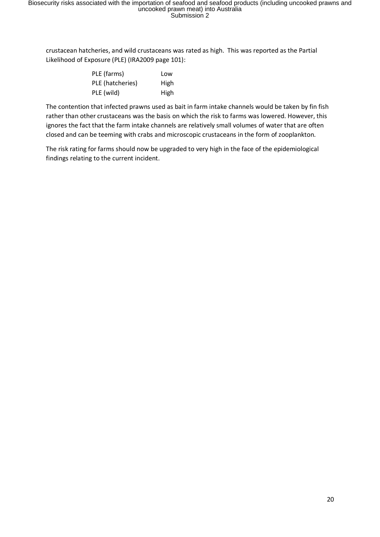crustacean hatcheries, and wild crustaceans was rated as high. This was reported as the Partial Likelihood of Exposure (PLE) (IRA2009 page 101):

| PLE (farms)      | Low  |
|------------------|------|
| PLE (hatcheries) | High |
| PLE (wild)       | High |

The contention that infected prawns used as bait in farm intake channels would be taken by fin fish rather than other crustaceans was the basis on which the risk to farms was lowered. However, this ignores the fact that the farm intake channels are relatively small volumes of water that are often closed and can be teeming with crabs and microscopic crustaceans in the form of zooplankton.

The risk rating for farms should now be upgraded to very high in the face of the epidemiological findings relating to the current incident.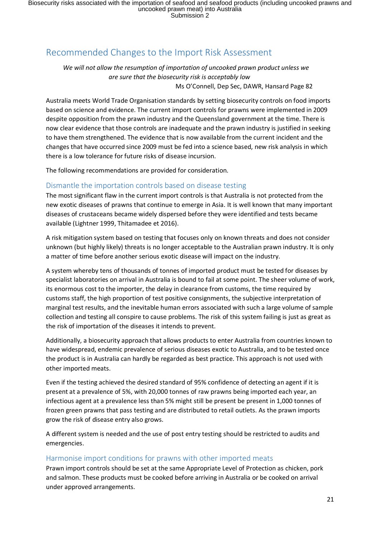## <span id="page-20-0"></span>Recommended Changes to the Import Risk Assessment

*We will not allow the resumption of importation of uncooked prawn product unless we are sure that the biosecurity risk is acceptably low* Ms O'Connell, Dep Sec, DAWR, Hansard Page 82

Australia meets World Trade Organisation standards by setting biosecurity controls on food imports based on science and evidence. The current import controls for prawns were implemented in 2009 despite opposition from the prawn industry and the Queensland government at the time. There is now clear evidence that those controls are inadequate and the prawn industry is justified in seeking to have them strengthened. The evidence that is now available from the current incident and the changes that have occurred since 2009 must be fed into a science based, new risk analysis in which there is a low tolerance for future risks of disease incursion.

The following recommendations are provided for consideration.

#### <span id="page-20-1"></span>Dismantle the importation controls based on disease testing

The most significant flaw in the current import controls is that Australia is not protected from the new exotic diseases of prawns that continue to emerge in Asia. It is well known that many important diseases of crustaceans became widely dispersed before they were identified and tests became available (Lightner 1999, Thitamadee et 2016).

A risk mitigation system based on testing that focuses only on known threats and does not consider unknown (but highly likely) threats is no longer acceptable to the Australian prawn industry. It is only a matter of time before another serious exotic disease will impact on the industry.

A system whereby tens of thousands of tonnes of imported product must be tested for diseases by specialist laboratories on arrival in Australia is bound to fail at some point. The sheer volume of work, its enormous cost to the importer, the delay in clearance from customs, the time required by customs staff, the high proportion of test positive consignments, the subjective interpretation of marginal test results, and the inevitable human errors associated with such a large volume of sample collection and testing all conspire to cause problems. The risk of this system failing is just as great as the risk of importation of the diseases it intends to prevent.

Additionally, a biosecurity approach that allows products to enter Australia from countries known to have widespread, endemic prevalence of serious diseases exotic to Australia, and to be tested once the product is in Australia can hardly be regarded as best practice. This approach is not used with other imported meats.

Even if the testing achieved the desired standard of 95% confidence of detecting an agent if it is present at a prevalence of 5%, with 20,000 tonnes of raw prawns being imported each year, an infectious agent at a prevalence less than 5% might still be present be present in 1,000 tonnes of frozen green prawns that pass testing and are distributed to retail outlets. As the prawn imports grow the risk of disease entry also grows.

A different system is needed and the use of post entry testing should be restricted to audits and emergencies.

#### <span id="page-20-2"></span>Harmonise import conditions for prawns with other imported meats

Prawn import controls should be set at the same Appropriate Level of Protection as chicken, pork and salmon. These products must be cooked before arriving in Australia or be cooked on arrival under approved arrangements.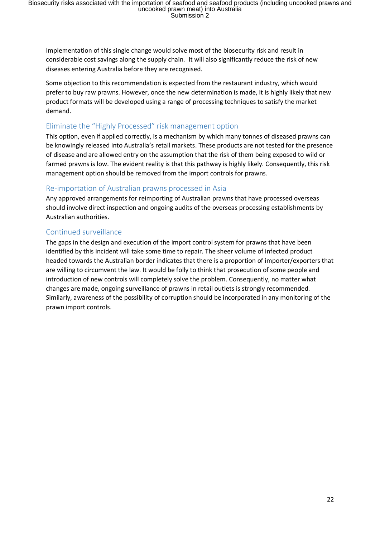Implementation of this single change would solve most of the biosecurity risk and result in considerable cost savings along the supply chain. It will also significantly reduce the risk of new diseases entering Australia before they are recognised.

Some objection to this recommendation is expected from the restaurant industry, which would prefer to buy raw prawns. However, once the new determination is made, it is highly likely that new product formats will be developed using a range of processing techniques to satisfy the market demand.

#### <span id="page-21-0"></span>Eliminate the "Highly Processed" risk management option

This option, even if applied correctly, is a mechanism by which many tonnes of diseased prawns can be knowingly released into Australia's retail markets. These products are not tested for the presence of disease and are allowed entry on the assumption that the risk of them being exposed to wild or farmed prawns is low. The evident reality is that this pathway is highly likely. Consequently, this risk management option should be removed from the import controls for prawns.

#### <span id="page-21-1"></span>Re-importation of Australian prawns processed in Asia

Any approved arrangements for reimporting of Australian prawns that have processed overseas should involve direct inspection and ongoing audits of the overseas processing establishments by Australian authorities.

#### <span id="page-21-2"></span>Continued surveillance

The gaps in the design and execution of the import control system for prawns that have been identified by this incident will take some time to repair. The sheer volume of infected product headed towards the Australian border indicates that there is a proportion of importer/exporters that are willing to circumvent the law. It would be folly to think that prosecution of some people and introduction of new controls will completely solve the problem. Consequently, no matter what changes are made, ongoing surveillance of prawns in retail outlets is strongly recommended. Similarly, awareness of the possibility of corruption should be incorporated in any monitoring of the prawn import controls.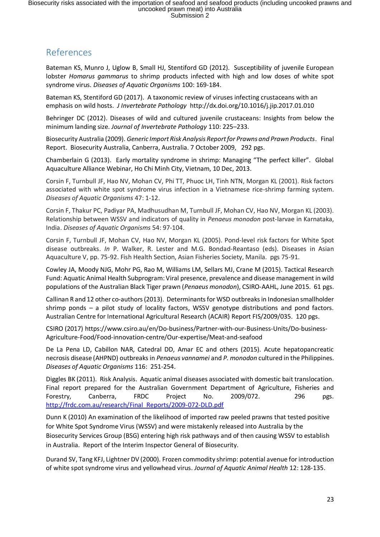## <span id="page-22-0"></span>References

Bateman KS, Munro J, Uglow B, Small HJ, Stentiford GD (2012). Susceptibility of juvenile European lobster *Homarus gammarus* to shrimp products infected with high and low doses of white spot syndrome virus. *Diseases of Aquatic Organisms* 100: 169-184.

Bateman KS, Stentiford GD (2017). A taxonomic review of viruses infecting crustaceans with an emphasis on wild hosts. *J Invertebrate Pathology* http://dx.doi.org/10.1016/j.jip.2017.01.010

Behringer DC (2012). Diseases of wild and cultured juvenile crustaceans: Insights from below the minimum landing size. *Journal of Invertebrate Pathology* 110: 225–233.

Biosecurity Australia (2009). *Generic Import Risk Analysis Report for Prawns and Prawn Products*. Final Report. Biosecurity Australia, Canberra, Australia. 7 October 2009, 292 pgs.

Chamberlain G (2013). Early mortality syndrome in shrimp: Managing "The perfect killer". Global Aquaculture Alliance Webinar, Ho Chi Minh City, Vietnam, 10 Dec, 2013.

Corsin F, Turnbull JF, Hao NV, Mohan CV, Phi TT, Phuoc LH, Tinh NTN, Morgan KL (2001). Risk factors associated with white spot syndrome virus infection in a Vietnamese rice-shrimp farming system. *Diseases of Aquatic Organisms* 47: 1-12.

Corsin F, Thakur PC, Padiyar PA, Madhusudhan M, Turnbull JF, Mohan CV, Hao NV, Morgan KL (2003). Relationship between WSSV and indicators of quality in *Penaeus monodon* post-larvae in Karnataka, India. *Diseases of Aquatic Organisms* 54: 97-104.

Corsin F, Turnbull JF, Mohan CV, Hao NV, Morgan KL (2005). Pond-level risk factors for White Spot disease outbreaks. *In* P. Walker, R. Lester and M.G. Bondad-Reantaso (eds). Diseases in Asian Aquaculture V, pp. 75-92. Fish Health Section, Asian Fisheries Society, Manila. pgs 75-91.

Cowley JA, Moody NJG, Mohr PG, Rao M, Williams LM, Sellars MJ, Crane M (2015). Tactical Research Fund: Aquatic Animal Health Subprogram: Viral presence, prevalence and disease management in wild populations of the Australian Black Tiger prawn (*Penaeus monodon*), CSIRO-AAHL, June 2015. 61 pgs.

Callinan R and 12 other co-authors (2013). Determinants for WSD outbreaks in Indonesian smallholder shrimp ponds – a pilot study of locality factors, WSSV genotype distributions and pond factors. Australian Centre for International Agricultural Research (ACAIR) Report FIS/2009/035. 120 pgs.

CSIRO (2017) https://www.csiro.au/en/Do-business/Partner-with-our-Business-Units/Do-business-Agriculture-Food/Food-innovation-centre/Our-expertise/Meat-and-seafood

De La Pena LD, Cabillon NAR, Catedral DD, Amar EC and others (2015). Acute hepatopancreatic necrosis disease (AHPND) outbreaks in *Penaeus vannamei* and *P. monodon* cultured in the Philippines. *Diseases of Aquatic Organisms* 116: 251-254.

Diggles BK (2011). Risk Analysis. Aquatic animal diseases associated with domestic bait translocation. Final report prepared for the Australian Government Department of Agriculture, Fisheries and Forestry, Canberra, FRDC Project No. 2009/072. 296 pgs. [http://frdc.com.au/research/Final\\_Reports/2009-072-DLD.pdf](http://frdc.com.au/research/Final_Reports/2009-072-DLD.pdf)

Dunn K (2010) An examination of the likelihood of imported raw peeled prawns that tested positive for White Spot Syndrome Virus (WSSV) and were mistakenly released into Australia by the Biosecurity Services Group (BSG) entering high risk pathways and of then causing WSSV to establish in Australia. Report of the Interim Inspector General of Biosecurity.

Durand SV, Tang KFJ, Lightner DV (2000). Frozen commodity shrimp: potential avenue for introduction of white spot syndrome virus and yellowhead virus. *Journal of Aquatic Animal Health* 12: 128-135.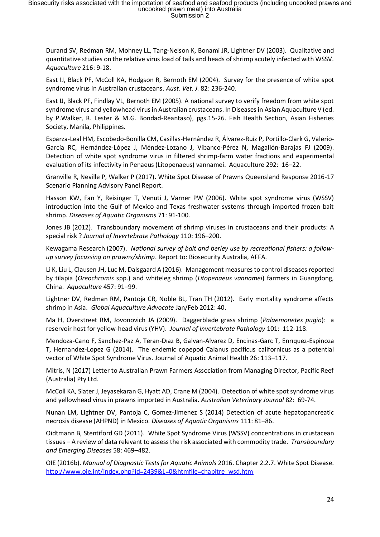Durand SV, Redman RM, Mohney LL, Tang-Nelson K, Bonami JR, Lightner DV (2003). Qualitative and quantitative studies on the relative virus load of tails and heads of shrimp acutely infected with WSSV. *Aquaculture* 216: 9-18.

East IJ, Black PF, McColl KA, Hodgson R, Bernoth EM (2004). Survey for the presence of white spot syndrome virus in Australian crustaceans. *Aust. Vet. J.* 82: 236-240.

East IJ, Black PF, Findlay VL, Bernoth EM (2005). A national survey to verify freedom from white spot syndrome virus and yellowhead virus in Australian crustaceans. In Diseases in Asian Aquaculture V (ed. by P.Walker, R. Lester & M.G. Bondad-Reantaso), pgs.15-26. Fish Health Section, Asian Fisheries Society, Manila, Philippines.

Esparza-Leal HM, Escobedo-Bonilla CM, Casillas-Hernández R, Álvarez-Ruíz P, Portillo-Clark G, Valerio-García RC, Hernández-López J, Méndez-Lozano J, Vibanco-Pérez N, Magallón-Barajas FJ (2009). Detection of white spot syndrome virus in filtered shrimp-farm water fractions and experimental evaluation of its infectivity in Penaeus (Litopenaeus) vannamei. Aquaculture 292: 16–22.

Granville R, Neville P, Walker P (2017). White Spot Disease of Prawns Queensland Response 2016-17 Scenario Planning Advisory Panel Report.

Hasson KW, Fan Y, Reisinger T, Venuti J, Varner PW (2006). White spot syndrome virus (WSSV) introduction into the Gulf of Mexico and Texas freshwater systems through imported frozen bait shrimp. *Diseases of Aquatic Organisms* 71: 91-100.

Jones JB (2012). Transboundary movement of shrimp viruses in crustaceans and their products: A special risk ? *Journal of Invertebrate Pathology* 110: 196–200.

Kewagama Research (2007). *National survey of bait and berley use by recreational fishers: a followup survey focussing on prawns/shrimp*. Report to: Biosecurity Australia, AFFA.

Li K, Liu L, Clausen JH, Luc M, Dalsgaard A (2016). Management measures to control diseases reported by tilapia (*Oreochromis* spp.) and whiteleg shrimp (*Litopenaeus vannamei*) farmers in Guangdong, China. *Aquaculture* 457: 91–99.

Lightner DV, Redman RM, Pantoja CR, Noble BL, Tran TH (2012). Early mortality syndrome affects shrimp in Asia. *Global Aquaculture Advocate* Jan/Feb 2012: 40.

Ma H, Overstreet RM, Jovonovich JA (2009). Daggerblade grass shrimp (*Palaemonetes pugio*): a reservoir host for yellow-head virus (YHV). *Journal of Invertebrate Pathology* 101: 112-118.

Mendoza-Cano F, Sanchez-Paz A, Teran-Dıaz B, Galvan-Alvarez D, Encinas-Garc T, Enrıquez-Espinoza T, Hernandez-Lopez G (2014). The endemic copepod Calanus pacificus californicus as a potential vector of White Spot Syndrome Virus. Journal of Aquatic Animal Health 26: 113–117.

Mitris, N (2017) Letter to Australian Prawn Farmers Association from Managing Director, Pacific Reef (Australia) Pty Ltd.

McColl KA, Slater J, Jeyasekaran G, Hyatt AD, Crane M (2004). Detection of white spot syndrome virus and yellowhead virus in prawns imported in Australia. *Australian Veterinary Journal* 82: 69-74.

Nunan LM, Lightner DV, Pantoja C, Gomez-Jimenez S (2014) Detection of acute hepatopancreatic necrosis disease (AHPND) in Mexico. *Diseases of Aquatic Organisms* 111: 81–86.

Oidtmann B, Stentiford GD (2011). White Spot Syndrome Virus (WSSV) concentrations in crustacean tissues – A review of data relevant to assess the risk associated with commodity trade. *Transboundary and Emerging Diseases* 58: 469–482.

OIE (2016b). *Manual of Diagnostic Tests for Aquatic Animals* 2016. Chapter 2.2.7. White Spot Disease. [http://www.oie.int/index.php?id=2439&L=0&htmfile=chapitre\\_wsd.htm](http://www.oie.int/index.php?id=2439&L=0&htmfile=chapitre_wsd.htm%20%20)